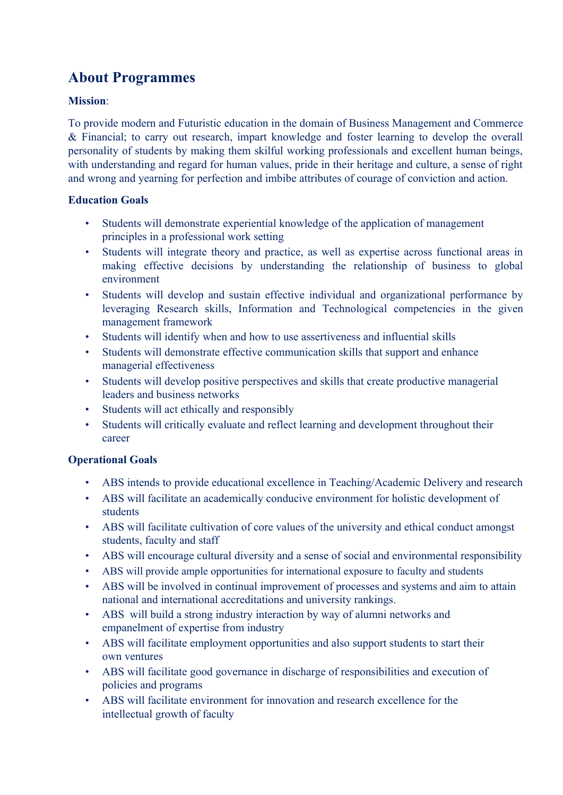# **About Programmes**

# **Mission**:

To provide modern and Futuristic education in the domain of Business Management and Commerce & Financial; to carry out research, impart knowledge and foster learning to develop the overall personality of students by making them skilful working professionals and excellent human beings, with understanding and regard for human values, pride in their heritage and culture, a sense of right and wrong and yearning for perfection and imbibe attributes of courage of conviction and action.

# **Education Goals**

- Students will demonstrate experiential knowledge of the application of management principles in a professional work setting
- Students will integrate theory and practice, as well as expertise across functional areas in making effective decisions by understanding the relationship of business to global environment
- Students will develop and sustain effective individual and organizational performance by leveraging Research skills, Information and Technological competencies in the given management framework
- Students will identify when and how to use assertiveness and influential skills
- Students will demonstrate effective communication skills that support and enhance managerial effectiveness
- Students will develop positive perspectives and skills that create productive managerial leaders and business networks
- Students will act ethically and responsibly
- Students will critically evaluate and reflect learning and development throughout their career

# **Operational Goals**

- ABS intends to provide educational excellence in Teaching/Academic Delivery and research
- ABS will facilitate an academically conducive environment for holistic development of students
- ABS will facilitate cultivation of core values of the university and ethical conduct amongst students, faculty and staff
- ABS will encourage cultural diversity and a sense of social and environmental responsibility
- ABS will provide ample opportunities for international exposure to faculty and students
- ABS will be involved in continual improvement of processes and systems and aim to attain national and international accreditations and university rankings.
- ABS will build a strong industry interaction by way of alumni networks and empanelment of expertise from industry
- ABS will facilitate employment opportunities and also support students to start their own ventures
- ABS will facilitate good governance in discharge of responsibilities and execution of policies and programs
- ABS will facilitate environment for innovation and research excellence for the intellectual growth of faculty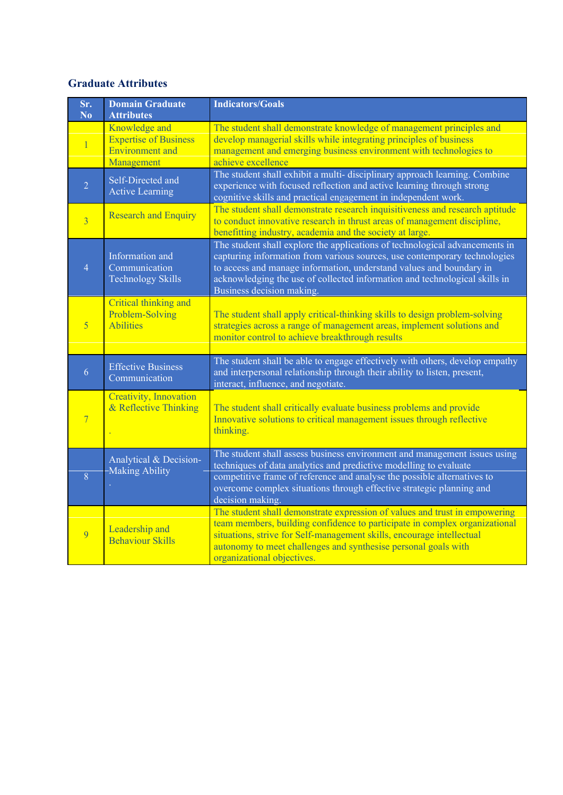# **Graduate Attributes**

 $\overline{\phantom{a}}$ 

| Sr.<br>N <sub>o</sub> | <b>Domain Graduate</b><br><b>Attributes</b>                                           | <b>Indicators/Goals</b>                                                                                                                                                                                                                                                                                                                    |
|-----------------------|---------------------------------------------------------------------------------------|--------------------------------------------------------------------------------------------------------------------------------------------------------------------------------------------------------------------------------------------------------------------------------------------------------------------------------------------|
| $\overline{1}$        | Knowledge and<br><b>Expertise of Business</b><br><b>Environment</b> and<br>Management | The student shall demonstrate knowledge of management principles and<br>develop managerial skills while integrating principles of business<br>management and emerging business environment with technologies to<br>achieve excellence                                                                                                      |
| $\overline{2}$        | Self-Directed and<br><b>Active Learning</b>                                           | The student shall exhibit a multi- disciplinary approach learning. Combine<br>experience with focused reflection and active learning through strong<br>cognitive skills and practical engagement in independent work.                                                                                                                      |
| $\overline{3}$        | <b>Research and Enquiry</b>                                                           | The student shall demonstrate research inquisitiveness and research aptitude<br>to conduct innovative research in thrust areas of management discipline,<br>benefitting industry, academia and the society at large.                                                                                                                       |
| $\overline{4}$        | Information and<br>Communication<br><b>Technology Skills</b>                          | The student shall explore the applications of technological advancements in<br>capturing information from various sources, use contemporary technologies<br>to access and manage information, understand values and boundary in<br>acknowledging the use of collected information and technological skills in<br>Business decision making. |
| $\overline{5}$        | Critical thinking and<br>Problem-Solving<br><b>Abilities</b>                          | The student shall apply critical-thinking skills to design problem-solving<br>strategies across a range of management areas, implement solutions and<br>monitor control to achieve breakthrough results                                                                                                                                    |
| 6                     | <b>Effective Business</b><br>Communication                                            | The student shall be able to engage effectively with others, develop empathy<br>and interpersonal relationship through their ability to listen, present,<br>interact, influence, and negotiate.                                                                                                                                            |
| $\overline{7}$        | Creativity, Innovation<br>& Reflective Thinking                                       | The student shall critically evaluate business problems and provide<br>Innovative solutions to critical management issues through reflective<br>thinking.                                                                                                                                                                                  |
| 8                     | Analytical & Decision-<br><b>Making Ability</b>                                       | The student shall assess business environment and management issues using<br>techniques of data analytics and predictive modelling to evaluate<br>competitive frame of reference and analyse the possible alternatives to<br>overcome complex situations through effective strategic planning and<br>decision making.                      |
| $\overline{9}$        | Leadership and<br><b>Behaviour Skills</b>                                             | The student shall demonstrate expression of values and trust in empowering<br>team members, building confidence to participate in complex organizational<br>situations, strive for Self-management skills, encourage intellectual<br>autonomy to meet challenges and synthesise personal goals with<br>organizational objectives.          |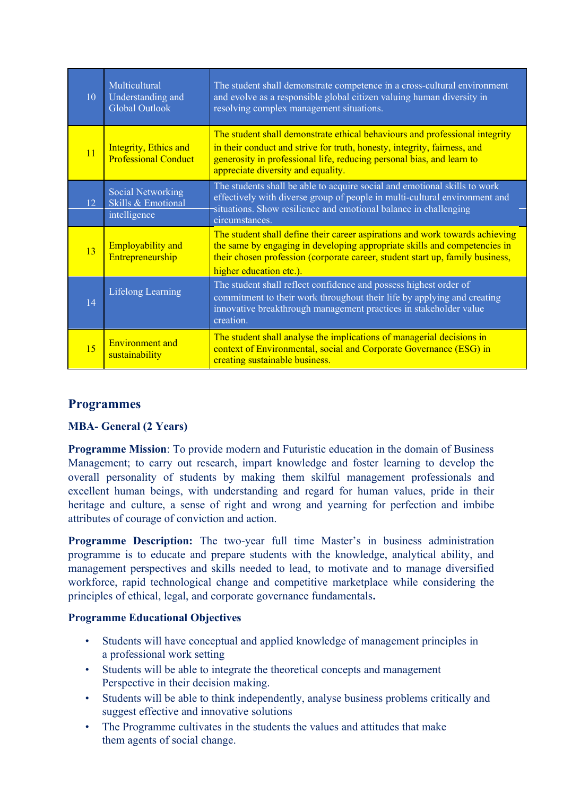| 10 | Multicultural<br>Understanding and<br>Global Outlook           | The student shall demonstrate competence in a cross-cultural environment<br>and evolve as a responsible global citizen valuing human diversity in<br>resolving complex management situations.                                                                          |
|----|----------------------------------------------------------------|------------------------------------------------------------------------------------------------------------------------------------------------------------------------------------------------------------------------------------------------------------------------|
| 11 | Integrity, Ethics and<br><b>Professional Conduct</b>           | The student shall demonstrate ethical behaviours and professional integrity<br>in their conduct and strive for truth, honesty, integrity, fairness, and<br>generosity in professional life, reducing personal bias, and learn to<br>appreciate diversity and equality. |
| 12 | <b>Social Networking</b><br>Skills & Emotional<br>intelligence | The students shall be able to acquire social and emotional skills to work<br>effectively with diverse group of people in multi-cultural environment and<br>situations. Show resilience and emotional balance in challenging<br>circumstances.                          |
| 13 | <b>Employability and</b><br>Entrepreneurship                   | The student shall define their career aspirations and work towards achieving<br>the same by engaging in developing appropriate skills and competencies in<br>their chosen profession (corporate career, student start up, family business,<br>higher education etc.).  |
| 14 | <b>Lifelong Learning</b>                                       | The student shall reflect confidence and possess highest order of<br>commitment to their work throughout their life by applying and creating<br>innovative breakthrough management practices in stakeholder value<br>creation.                                         |
| 15 | <b>Environment</b> and<br>sustainability                       | The student shall analyse the implications of managerial decisions in<br>context of Environmental, social and Corporate Governance (ESG) in<br>creating sustainable business.                                                                                          |

# **Programmes**

# **MBA- General (2 Years)**

**Programme Mission**: To provide modern and Futuristic education in the domain of Business Management; to carry out research, impart knowledge and foster learning to develop the overall personality of students by making them skilful management professionals and excellent human beings, with understanding and regard for human values, pride in their heritage and culture, a sense of right and wrong and yearning for perfection and imbibe attributes of courage of conviction and action.

**Programme Description:** The two-year full time Master's in business administration programme is to educate and prepare students with the knowledge, analytical ability, and management perspectives and skills needed to lead, to motivate and to manage diversified workforce, rapid technological change and competitive marketplace while considering the principles of ethical, legal, and corporate governance fundamentals**.**

# **Programme Educational Objectives**

- Students will have conceptual and applied knowledge of management principles in a professional work setting
- Students will be able to integrate the theoretical concepts and management Perspective in their decision making.
- Students will be able to think independently, analyse business problems critically and suggest effective and innovative solutions
- The Programme cultivates in the students the values and attitudes that make them agents of social change.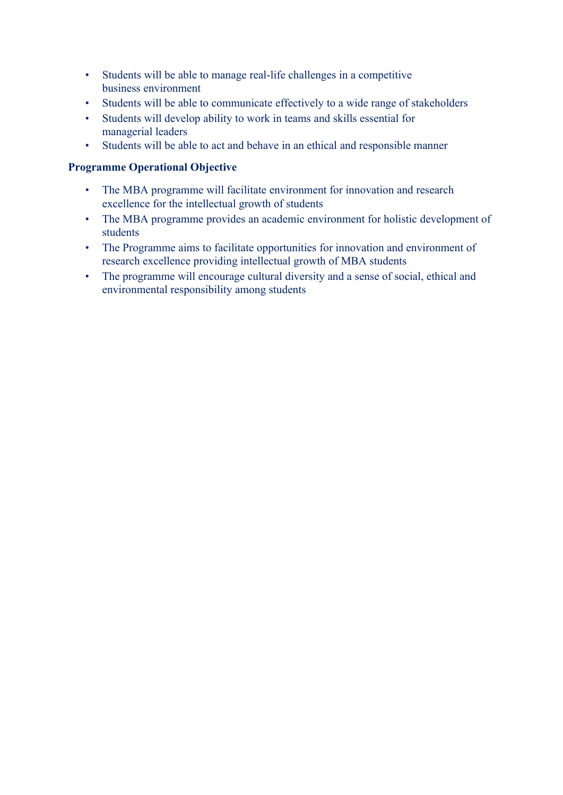- Students will be able to manage real-life challenges in a competitive business environment
- Students will be able to communicate effectively to a wide range of stakeholders
- Students will develop ability to work in teams and skills essential for managerial leaders
- Students will be able to act and behave in an ethical and responsible manner

- The MBA programme will facilitate environment for innovation and research excellence for the intellectual growth of students
- The MBA programme provides an academic environment for holistic development of students
- The Programme aims to facilitate opportunities for innovation and environment of research excellence providing intellectual growth of MBA students
- The programme will encourage cultural diversity and a sense of social, ethical and environmental responsibility among students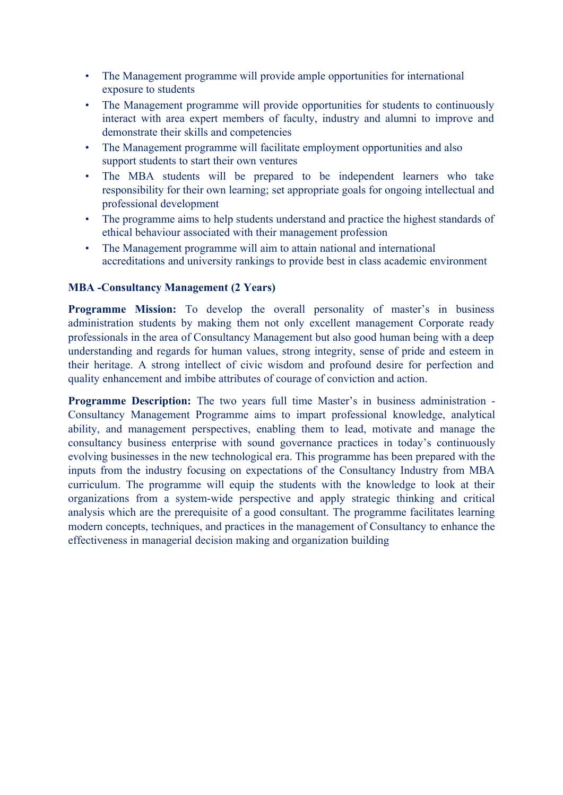- The Management programme will provide ample opportunities for international exposure to students
- The Management programme will provide opportunities for students to continuously interact with area expert members of faculty, industry and alumni to improve and demonstrate their skills and competencies
- The Management programme will facilitate employment opportunities and also support students to start their own ventures
- The MBA students will be prepared to be independent learners who take responsibility for their own learning; set appropriate goals for ongoing intellectual and professional development
- The programme aims to help students understand and practice the highest standards of ethical behaviour associated with their management profession
- The Management programme will aim to attain national and international accreditations and university rankings to provide best in class academic environment

#### **MBA -Consultancy Management (2 Years)**

**Programme Mission:** To develop the overall personality of master's in business administration students by making them not only excellent management Corporate ready professionals in the area of Consultancy Management but also good human being with a deep understanding and regards for human values, strong integrity, sense of pride and esteem in their heritage. A strong intellect of civic wisdom and profound desire for perfection and quality enhancement and imbibe attributes of courage of conviction and action.

**Programme Description:** The two years full time Master's in business administration - Consultancy Management Programme aims to impart professional knowledge, analytical ability, and management perspectives, enabling them to lead, motivate and manage the consultancy business enterprise with sound governance practices in today's continuously evolving businesses in the new technological era. This programme has been prepared with the inputs from the industry focusing on expectations of the Consultancy Industry from MBA curriculum. The programme will equip the students with the knowledge to look at their organizations from a system-wide perspective and apply strategic thinking and critical analysis which are the prerequisite of a good consultant. The programme facilitates learning modern concepts, techniques, and practices in the management of Consultancy to enhance the effectiveness in managerial decision making and organization building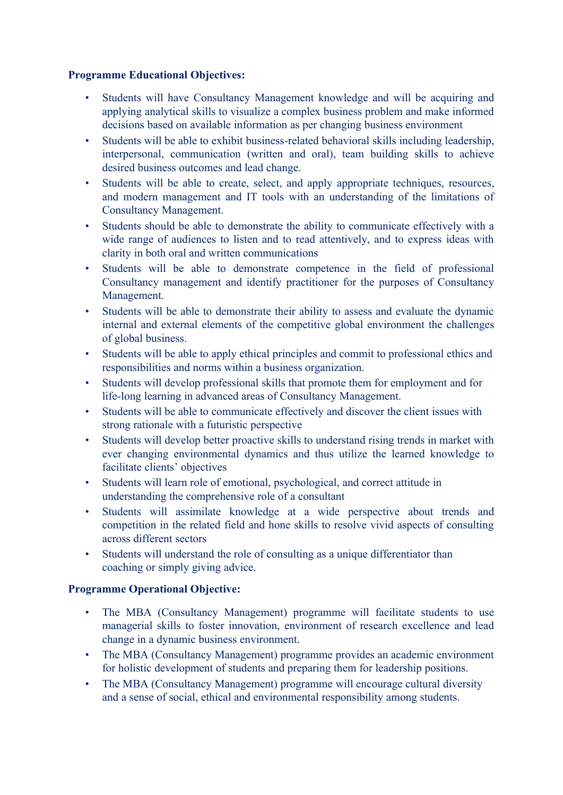# **Programme Educational Objectives:**

- Students will have Consultancy Management knowledge and will be acquiring and applying analytical skills to visualize a complex business problem and make informed decisions based on available information as per changing business environment
- Students will be able to exhibit business-related behavioral skills including leadership, interpersonal, communication (written and oral), team building skills to achieve desired business outcomes and lead change.
- Students will be able to create, select, and apply appropriate techniques, resources, and modern management and IT tools with an understanding of the limitations of Consultancy Management.
- Students should be able to demonstrate the ability to communicate effectively with a wide range of audiences to listen and to read attentively, and to express ideas with clarity in both oral and written communications
- Students will be able to demonstrate competence in the field of professional Consultancy management and identify practitioner for the purposes of Consultancy Management.
- Students will be able to demonstrate their ability to assess and evaluate the dynamic internal and external elements of the competitive global environment the challenges of global business.
- Students will be able to apply ethical principles and commit to professional ethics and responsibilities and norms within a business organization.
- Students will develop professional skills that promote them for employment and for life-long learning in advanced areas of Consultancy Management.
- Students will be able to communicate effectively and discover the client issues with strong rationale with a futuristic perspective
- Students will develop better proactive skills to understand rising trends in market with ever changing environmental dynamics and thus utilize the learned knowledge to facilitate clients' objectives
- Students will learn role of emotional, psychological, and correct attitude in understanding the comprehensive role of a consultant
- Students will assimilate knowledge at a wide perspective about trends and competition in the related field and hone skills to resolve vivid aspects of consulting across different sectors
- Students will understand the role of consulting as a unique differentiator than coaching or simply giving advice.

- The MBA (Consultancy Management) programme will facilitate students to use managerial skills to foster innovation, environment of research excellence and lead change in a dynamic business environment.
- The MBA (Consultancy Management) programme provides an academic environment for holistic development of students and preparing them for leadership positions.
- The MBA (Consultancy Management) programme will encourage cultural diversity and a sense of social, ethical and environmental responsibility among students.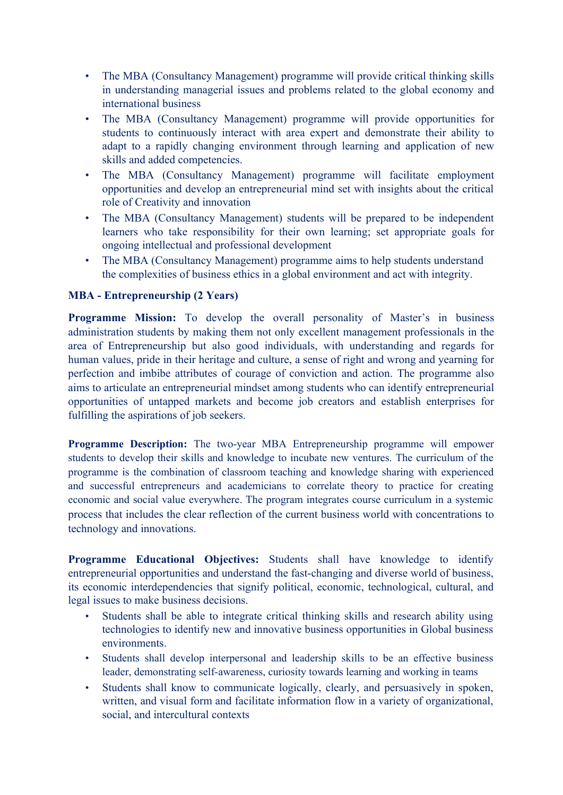- The MBA (Consultancy Management) programme will provide critical thinking skills in understanding managerial issues and problems related to the global economy and international business
- The MBA (Consultancy Management) programme will provide opportunities for students to continuously interact with area expert and demonstrate their ability to adapt to a rapidly changing environment through learning and application of new skills and added competencies.
- The MBA (Consultancy Management) programme will facilitate employment opportunities and develop an entrepreneurial mind set with insights about the critical role of Creativity and innovation
- The MBA (Consultancy Management) students will be prepared to be independent learners who take responsibility for their own learning; set appropriate goals for ongoing intellectual and professional development
- The MBA (Consultancy Management) programme aims to help students understand the complexities of business ethics in a global environment and act with integrity.

#### **MBA - Entrepreneurship (2 Years)**

**Programme Mission:** To develop the overall personality of Master's in business administration students by making them not only excellent management professionals in the area of Entrepreneurship but also good individuals, with understanding and regards for human values, pride in their heritage and culture, a sense of right and wrong and yearning for perfection and imbibe attributes of courage of conviction and action. The programme also aims to articulate an entrepreneurial mindset among students who can identify entrepreneurial opportunities of untapped markets and become job creators and establish enterprises for fulfilling the aspirations of job seekers.

**Programme Description:** The two-year MBA Entrepreneurship programme will empower students to develop their skills and knowledge to incubate new ventures. The curriculum of the programme is the combination of classroom teaching and knowledge sharing with experienced and successful entrepreneurs and academicians to correlate theory to practice for creating economic and social value everywhere. The program integrates course curriculum in a systemic process that includes the clear reflection of the current business world with concentrations to technology and innovations.

**Programme Educational Objectives:** Students shall have knowledge to identify entrepreneurial opportunities and understand the fast-changing and diverse world of business, its economic interdependencies that signify political, economic, technological, cultural, and legal issues to make business decisions.

- Students shall be able to integrate critical thinking skills and research ability using technologies to identify new and innovative business opportunities in Global business environments.
- Students shall develop interpersonal and leadership skills to be an effective business leader, demonstrating self-awareness, curiosity towards learning and working in teams
- Students shall know to communicate logically, clearly, and persuasively in spoken, written, and visual form and facilitate information flow in a variety of organizational. social, and intercultural contexts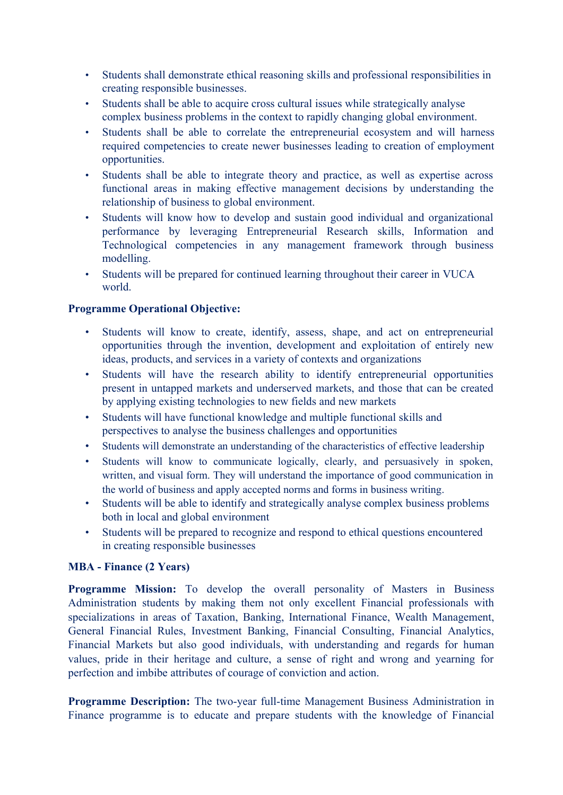- Students shall demonstrate ethical reasoning skills and professional responsibilities in creating responsible businesses.
- Students shall be able to acquire cross cultural issues while strategically analyse complex business problems in the context to rapidly changing global environment.
- Students shall be able to correlate the entrepreneurial ecosystem and will harness required competencies to create newer businesses leading to creation of employment opportunities.
- Students shall be able to integrate theory and practice, as well as expertise across functional areas in making effective management decisions by understanding the relationship of business to global environment.
- Students will know how to develop and sustain good individual and organizational performance by leveraging Entrepreneurial Research skills, Information and Technological competencies in any management framework through business modelling.
- Students will be prepared for continued learning throughout their career in VUCA world.

# **Programme Operational Objective:**

- Students will know to create, identify, assess, shape, and act on entrepreneurial opportunities through the invention, development and exploitation of entirely new ideas, products, and services in a variety of contexts and organizations
- Students will have the research ability to identify entrepreneurial opportunities present in untapped markets and underserved markets, and those that can be created by applying existing technologies to new fields and new markets
- Students will have functional knowledge and multiple functional skills and perspectives to analyse the business challenges and opportunities
- Students will demonstrate an understanding of the characteristics of effective leadership
- Students will know to communicate logically, clearly, and persuasively in spoken, written, and visual form. They will understand the importance of good communication in the world of business and apply accepted norms and forms in business writing.
- Students will be able to identify and strategically analyse complex business problems both in local and global environment
- Students will be prepared to recognize and respond to ethical questions encountered in creating responsible businesses

# **MBA - Finance (2 Years)**

**Programme Mission:** To develop the overall personality of Masters in Business Administration students by making them not only excellent Financial professionals with specializations in areas of Taxation, Banking, International Finance, Wealth Management, General Financial Rules, Investment Banking, Financial Consulting, Financial Analytics, Financial Markets but also good individuals, with understanding and regards for human values, pride in their heritage and culture, a sense of right and wrong and yearning for perfection and imbibe attributes of courage of conviction and action.

**Programme Description:** The two-year full-time Management Business Administration in Finance programme is to educate and prepare students with the knowledge of Financial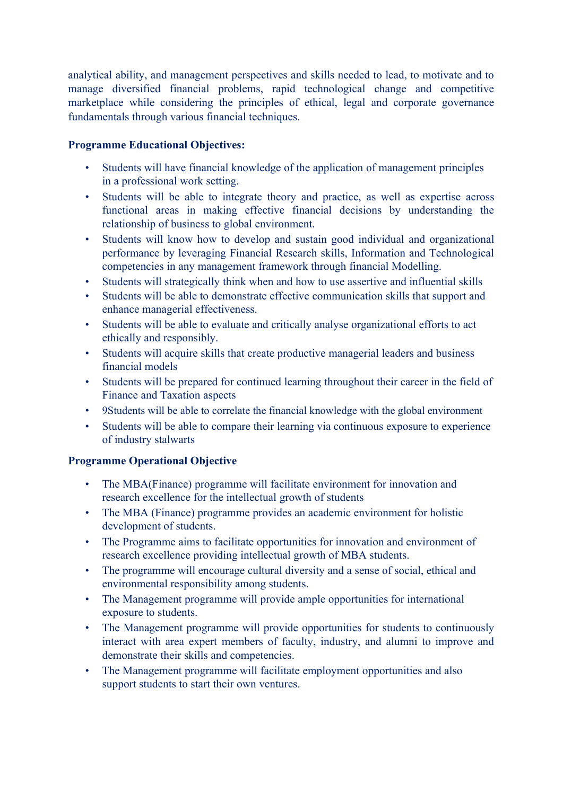analytical ability, and management perspectives and skills needed to lead, to motivate and to manage diversified financial problems, rapid technological change and competitive marketplace while considering the principles of ethical, legal and corporate governance fundamentals through various financial techniques.

# **Programme Educational Objectives:**

- Students will have financial knowledge of the application of management principles in a professional work setting.
- Students will be able to integrate theory and practice, as well as expertise across functional areas in making effective financial decisions by understanding the relationship of business to global environment.
- Students will know how to develop and sustain good individual and organizational performance by leveraging Financial Research skills, Information and Technological competencies in any management framework through financial Modelling.
- Students will strategically think when and how to use assertive and influential skills
- Students will be able to demonstrate effective communication skills that support and enhance managerial effectiveness.
- Students will be able to evaluate and critically analyse organizational efforts to act ethically and responsibly.
- Students will acquire skills that create productive managerial leaders and business financial models
- Students will be prepared for continued learning throughout their career in the field of Finance and Taxation aspects
- 9Students will be able to correlate the financial knowledge with the global environment
- Students will be able to compare their learning via continuous exposure to experience of industry stalwarts

- The MBA(Finance) programme will facilitate environment for innovation and research excellence for the intellectual growth of students
- The MBA (Finance) programme provides an academic environment for holistic development of students.
- The Programme aims to facilitate opportunities for innovation and environment of research excellence providing intellectual growth of MBA students.
- The programme will encourage cultural diversity and a sense of social, ethical and environmental responsibility among students.
- The Management programme will provide ample opportunities for international exposure to students.
- The Management programme will provide opportunities for students to continuously interact with area expert members of faculty, industry, and alumni to improve and demonstrate their skills and competencies.
- The Management programme will facilitate employment opportunities and also support students to start their own ventures.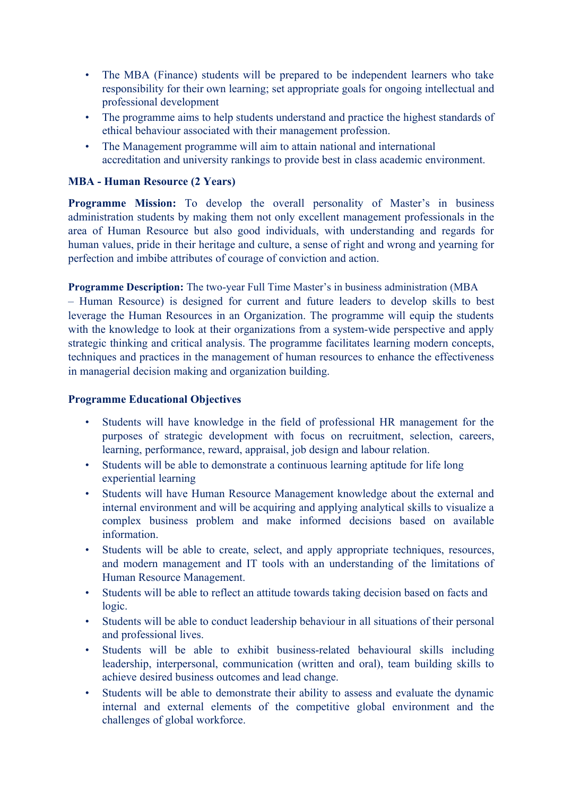- The MBA (Finance) students will be prepared to be independent learners who take responsibility for their own learning; set appropriate goals for ongoing intellectual and professional development
- The programme aims to help students understand and practice the highest standards of ethical behaviour associated with their management profession.
- The Management programme will aim to attain national and international accreditation and university rankings to provide best in class academic environment.

# **MBA - Human Resource (2 Years)**

**Programme Mission:** To develop the overall personality of Master's in business administration students by making them not only excellent management professionals in the area of Human Resource but also good individuals, with understanding and regards for human values, pride in their heritage and culture, a sense of right and wrong and yearning for perfection and imbibe attributes of courage of conviction and action.

**Programme Description:** The two-year Full Time Master's in business administration (MBA – Human Resource) is designed for current and future leaders to develop skills to best leverage the Human Resources in an Organization. The programme will equip the students with the knowledge to look at their organizations from a system-wide perspective and apply strategic thinking and critical analysis. The programme facilitates learning modern concepts, techniques and practices in the management of human resources to enhance the effectiveness in managerial decision making and organization building.

#### **Programme Educational Objectives**

- Students will have knowledge in the field of professional HR management for the purposes of strategic development with focus on recruitment, selection, careers, learning, performance, reward, appraisal, job design and labour relation.
- Students will be able to demonstrate a continuous learning aptitude for life long experiential learning
- Students will have Human Resource Management knowledge about the external and internal environment and will be acquiring and applying analytical skills to visualize a complex business problem and make informed decisions based on available information.
- Students will be able to create, select, and apply appropriate techniques, resources, and modern management and IT tools with an understanding of the limitations of Human Resource Management.
- Students will be able to reflect an attitude towards taking decision based on facts and logic.
- Students will be able to conduct leadership behaviour in all situations of their personal and professional lives.
- Students will be able to exhibit business-related behavioural skills including leadership, interpersonal, communication (written and oral), team building skills to achieve desired business outcomes and lead change.
- Students will be able to demonstrate their ability to assess and evaluate the dynamic internal and external elements of the competitive global environment and the challenges of global workforce.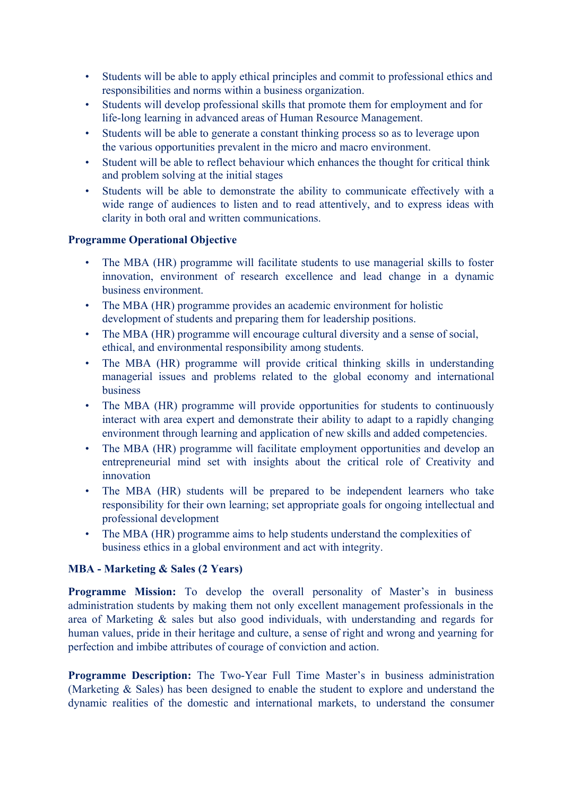- Students will be able to apply ethical principles and commit to professional ethics and responsibilities and norms within a business organization.
- Students will develop professional skills that promote them for employment and for life-long learning in advanced areas of Human Resource Management.
- Students will be able to generate a constant thinking process so as to leverage upon the various opportunities prevalent in the micro and macro environment.
- Student will be able to reflect behaviour which enhances the thought for critical think and problem solving at the initial stages
- Students will be able to demonstrate the ability to communicate effectively with a wide range of audiences to listen and to read attentively, and to express ideas with clarity in both oral and written communications.

#### **Programme Operational Objective**

- The MBA (HR) programme will facilitate students to use managerial skills to foster innovation, environment of research excellence and lead change in a dynamic business environment.
- The MBA (HR) programme provides an academic environment for holistic development of students and preparing them for leadership positions.
- The MBA (HR) programme will encourage cultural diversity and a sense of social. ethical, and environmental responsibility among students.
- The MBA (HR) programme will provide critical thinking skills in understanding managerial issues and problems related to the global economy and international business
- The MBA (HR) programme will provide opportunities for students to continuously interact with area expert and demonstrate their ability to adapt to a rapidly changing environment through learning and application of new skills and added competencies.
- The MBA (HR) programme will facilitate employment opportunities and develop an entrepreneurial mind set with insights about the critical role of Creativity and innovation
- The MBA (HR) students will be prepared to be independent learners who take responsibility for their own learning; set appropriate goals for ongoing intellectual and professional development
- The MBA (HR) programme aims to help students understand the complexities of business ethics in a global environment and act with integrity.

#### **MBA - Marketing & Sales (2 Years)**

**Programme Mission:** To develop the overall personality of Master's in business administration students by making them not only excellent management professionals in the area of Marketing & sales but also good individuals, with understanding and regards for human values, pride in their heritage and culture, a sense of right and wrong and yearning for perfection and imbibe attributes of courage of conviction and action.

**Programme Description:** The Two-Year Full Time Master's in business administration (Marketing & Sales) has been designed to enable the student to explore and understand the dynamic realities of the domestic and international markets, to understand the consumer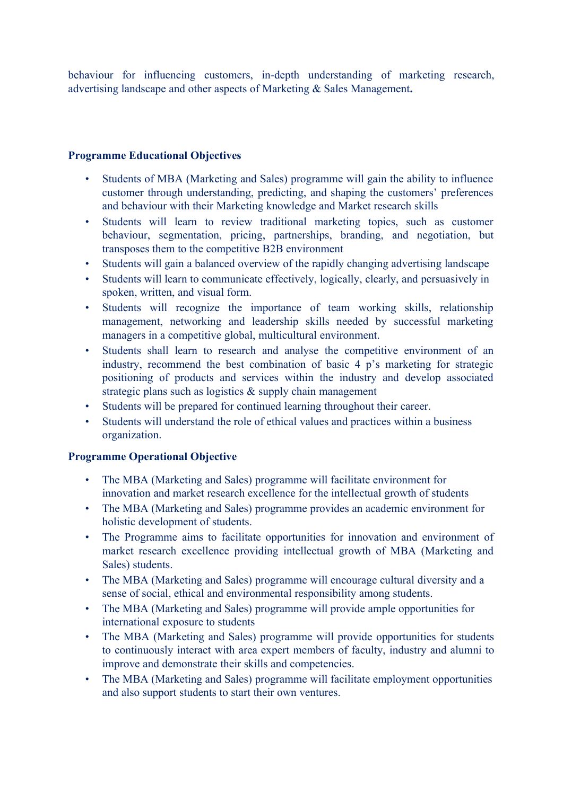behaviour for influencing customers, in-depth understanding of marketing research, advertising landscape and other aspects of Marketing & Sales Management**.**

#### **Programme Educational Objectives**

- Students of MBA (Marketing and Sales) programme will gain the ability to influence customer through understanding, predicting, and shaping the customers' preferences and behaviour with their Marketing knowledge and Market research skills
- Students will learn to review traditional marketing topics, such as customer behaviour, segmentation, pricing, partnerships, branding, and negotiation, but transposes them to the competitive B2B environment
- Students will gain a balanced overview of the rapidly changing advertising landscape
- Students will learn to communicate effectively, logically, clearly, and persuasively in spoken, written, and visual form.
- Students will recognize the importance of team working skills, relationship management, networking and leadership skills needed by successful marketing managers in a competitive global, multicultural environment.
- Students shall learn to research and analyse the competitive environment of an industry, recommend the best combination of basic 4 p's marketing for strategic positioning of products and services within the industry and develop associated strategic plans such as logistics & supply chain management
- Students will be prepared for continued learning throughout their career.
- Students will understand the role of ethical values and practices within a business organization.

- The MBA (Marketing and Sales) programme will facilitate environment for innovation and market research excellence for the intellectual growth of students
- The MBA (Marketing and Sales) programme provides an academic environment for holistic development of students.
- The Programme aims to facilitate opportunities for innovation and environment of market research excellence providing intellectual growth of MBA (Marketing and Sales) students.
- The MBA (Marketing and Sales) programme will encourage cultural diversity and a sense of social, ethical and environmental responsibility among students.
- The MBA (Marketing and Sales) programme will provide ample opportunities for international exposure to students
- The MBA (Marketing and Sales) programme will provide opportunities for students to continuously interact with area expert members of faculty, industry and alumni to improve and demonstrate their skills and competencies.
- The MBA (Marketing and Sales) programme will facilitate employment opportunities and also support students to start their own ventures.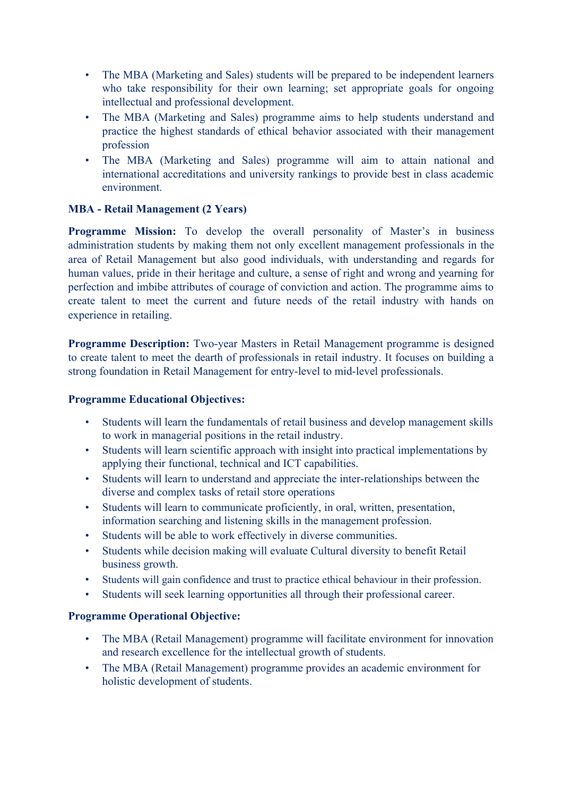- The MBA (Marketing and Sales) students will be prepared to be independent learners who take responsibility for their own learning; set appropriate goals for ongoing intellectual and professional development.
- The MBA (Marketing and Sales) programme aims to help students understand and practice the highest standards of ethical behavior associated with their management profession
- The MBA (Marketing and Sales) programme will aim to attain national and international accreditations and university rankings to provide best in class academic environment.

# **MBA - Retail Management (2 Years)**

**Programme Mission:** To develop the overall personality of Master's in business administration students by making them not only excellent management professionals in the area of Retail Management but also good individuals, with understanding and regards for human values, pride in their heritage and culture, a sense of right and wrong and yearning for perfection and imbibe attributes of courage of conviction and action. The programme aims to create talent to meet the current and future needs of the retail industry with hands on experience in retailing.

**Programme Description:** Two-year Masters in Retail Management programme is designed to create talent to meet the dearth of professionals in retail industry. It focuses on building a strong foundation in Retail Management for entry-level to mid-level professionals.

#### **Programme Educational Objectives:**

- Students will learn the fundamentals of retail business and develop management skills to work in managerial positions in the retail industry.
- Students will learn scientific approach with insight into practical implementations by applying their functional, technical and ICT capabilities.
- Students will learn to understand and appreciate the inter-relationships between the diverse and complex tasks of retail store operations
- Students will learn to communicate proficiently, in oral, written, presentation, information searching and listening skills in the management profession.
- Students will be able to work effectively in diverse communities.
- Students while decision making will evaluate Cultural diversity to benefit Retail business growth.
- Students will gain confidence and trust to practice ethical behaviour in their profession.
- Students will seek learning opportunities all through their professional career.

- The MBA (Retail Management) programme will facilitate environment for innovation and research excellence for the intellectual growth of students.
- The MBA (Retail Management) programme provides an academic environment for holistic development of students.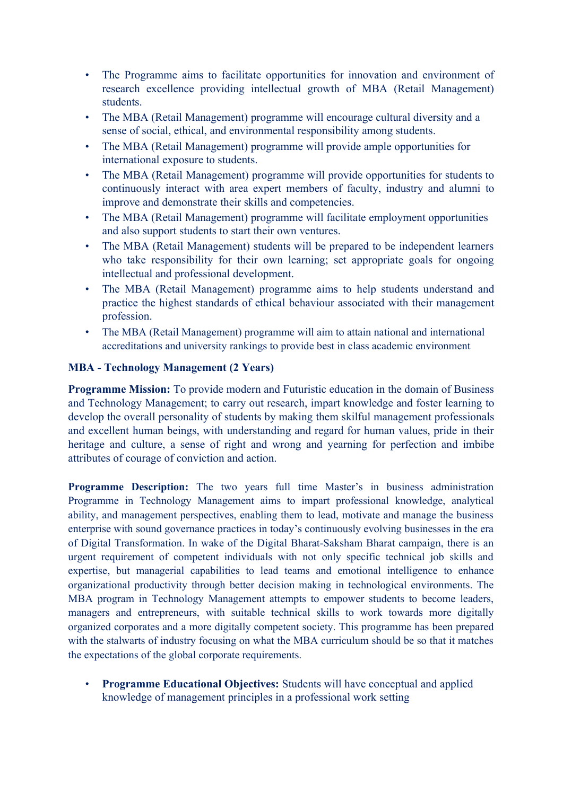- The Programme aims to facilitate opportunities for innovation and environment of research excellence providing intellectual growth of MBA (Retail Management) students.
- The MBA (Retail Management) programme will encourage cultural diversity and a sense of social, ethical, and environmental responsibility among students.
- The MBA (Retail Management) programme will provide ample opportunities for international exposure to students.
- The MBA (Retail Management) programme will provide opportunities for students to continuously interact with area expert members of faculty, industry and alumni to improve and demonstrate their skills and competencies.
- The MBA (Retail Management) programme will facilitate employment opportunities and also support students to start their own ventures.
- The MBA (Retail Management) students will be prepared to be independent learners who take responsibility for their own learning; set appropriate goals for ongoing intellectual and professional development.
- The MBA (Retail Management) programme aims to help students understand and practice the highest standards of ethical behaviour associated with their management profession.
- The MBA (Retail Management) programme will aim to attain national and international accreditations and university rankings to provide best in class academic environment

# **MBA - Technology Management (2 Years)**

**Programme Mission:** To provide modern and Futuristic education in the domain of Business and Technology Management; to carry out research, impart knowledge and foster learning to develop the overall personality of students by making them skilful management professionals and excellent human beings, with understanding and regard for human values, pride in their heritage and culture, a sense of right and wrong and yearning for perfection and imbibe attributes of courage of conviction and action.

**Programme Description:** The two years full time Master's in business administration Programme in Technology Management aims to impart professional knowledge, analytical ability, and management perspectives, enabling them to lead, motivate and manage the business enterprise with sound governance practices in today's continuously evolving businesses in the era of Digital Transformation. In wake of the Digital Bharat-Saksham Bharat campaign, there is an urgent requirement of competent individuals with not only specific technical job skills and expertise, but managerial capabilities to lead teams and emotional intelligence to enhance organizational productivity through better decision making in technological environments. The MBA program in Technology Management attempts to empower students to become leaders, managers and entrepreneurs, with suitable technical skills to work towards more digitally organized corporates and a more digitally competent society. This programme has been prepared with the stalwarts of industry focusing on what the MBA curriculum should be so that it matches the expectations of the global corporate requirements.

• **Programme Educational Objectives:** Students will have conceptual and applied knowledge of management principles in a professional work setting